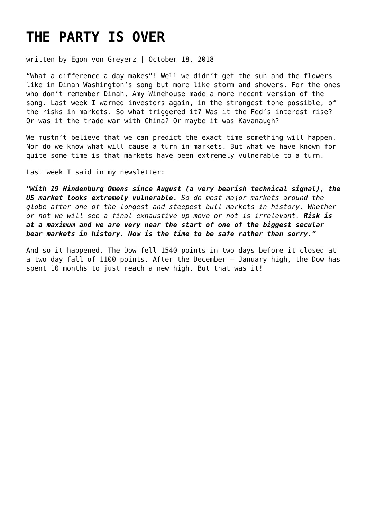# **[THE PARTY IS OVER](https://goldswitzerland.com/the-party-is-over/)**

written by Egon von Greyerz | October 18, 2018

"What a difference a day makes"! Well we didn't get the sun and the flowers like in Dinah Washington's song but more like storm and showers. For the ones who don't remember Dinah, Amy Winehouse made a more recent version of the song. Last week I warned investors again, in the strongest tone possible, of the risks in markets. So what triggered it? Was it the Fed's interest rise? Or was it the trade war with China? Or maybe it was Kavanaugh?

We mustn't believe that we can predict the exact time something will happen. Nor do we know what will cause a turn in markets. But what we have known for quite some time is that markets have been extremely vulnerable to a turn.

Last week I said in my newsletter:

*"With 19 Hindenburg Omens since August (a very bearish technical signal), the US market looks extremely vulnerable. So do most major markets around the globe after one of the longest and steepest bull markets in history. Whether or not we will see a final exhaustive up move or not is irrelevant. Risk is at a maximum and we are very near the start of one of the biggest secular bear markets in history. Now is the time to be safe rather than sorry."*

And so it happened. The Dow fell 1540 points in two days before it closed at a two day fall of 1100 points. After the December – January high, the Dow has spent 10 months to just reach a new high. But that was it!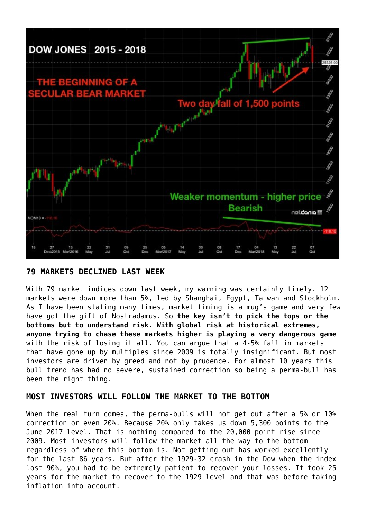

#### **79 MARKETS DECLINED LAST WEEK**

With 79 market indices down last week, my warning was certainly timely. 12 markets were down more than 5%, led by Shanghai, Egypt, Taiwan and Stockholm. As I have been stating many times, market timing is a mug's game and very few have got the gift of Nostradamus. So **the key isn't to pick the tops or the bottoms but to understand risk. With global risk at historical extremes, anyone trying to chase these markets higher is playing a very dangerous game** with the risk of losing it all. You can argue that a 4-5% fall in markets that have gone up by multiples since 2009 is totally insignificant. But most investors are driven by greed and not by prudence. For almost 10 years this bull trend has had no severe, sustained correction so being a perma-bull has been the right thing.

### **MOST INVESTORS WILL FOLLOW THE MARKET TO THE BOTTOM**

When the real turn comes, the perma-bulls will not get out after a 5% or 10% correction or even 20%. Because 20% only takes us down 5,300 points to the June 2017 level. That is nothing compared to the 20,000 point rise since 2009. Most investors will follow the market all the way to the bottom regardless of where this bottom is. Not getting out has worked excellently for the last 86 years. But after the 1929-32 crash in the Dow when the index lost 90%, you had to be extremely patient to recover your losses. It took 25 years for the market to recover to the 1929 level and that was before taking inflation into account.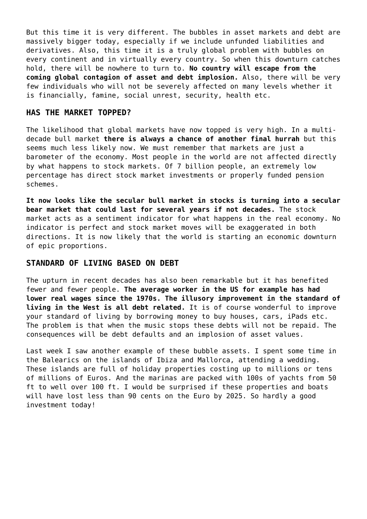But this time it is very different. The bubbles in asset markets and debt are massively bigger today, especially if we include unfunded liabilities and derivatives. Also, this time it is a truly global problem with bubbles on every continent and in virtually every country. So when this downturn catches hold, there will be nowhere to turn to. **No country will escape from the coming global contagion of asset and debt implosion.** Also, there will be very few individuals who will not be severely affected on many levels whether it is financially, famine, social unrest, security, health etc.

#### **HAS THE MARKET TOPPED?**

The likelihood that global markets have now topped is very high. In a multidecade bull market **there is always a chance of another final hurrah** but this seems much less likely now. We must remember that markets are just a barometer of the economy. Most people in the world are not affected directly by what happens to stock markets. Of 7 billion people, an extremely low percentage has direct stock market investments or properly funded pension schemes.

**It now looks like the secular bull market in stocks is turning into a secular bear market that could last for several years if not decades.** The stock market acts as a sentiment indicator for what happens in the real economy. No indicator is perfect and stock market moves will be exaggerated in both directions. It is now likely that the world is starting an economic downturn of epic proportions.

#### **STANDARD OF LIVING BASED ON DEBT**

The upturn in recent decades has also been remarkable but it has benefited fewer and fewer people. **The average worker in the US for example has had lower real wages since the 1970s. The illusory improvement in the standard of living in the West is all debt related.** It is of course wonderful to improve your standard of living by borrowing money to buy houses, cars, iPads etc. The problem is that when the music stops these debts will not be repaid. The consequences will be debt defaults and an implosion of asset values.

Last week I saw another example of these bubble assets. I spent some time in the Balearics on the islands of Ibiza and Mallorca, attending a wedding. These islands are full of holiday properties costing up to millions or tens of millions of Euros. And the marinas are packed with 100s of yachts from 50 ft to well over 100 ft. I would be surprised if these properties and boats will have lost less than 90 cents on the Euro by 2025. So hardly a good investment today!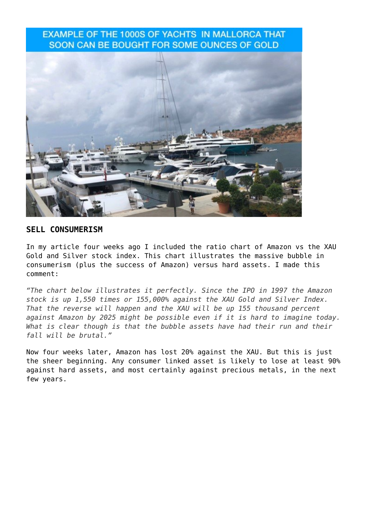## **EXAMPLE OF THE 1000S OF YACHTS IN MALLORCA THAT** SOON CAN BE BOUGHT FOR SOME OUNCES OF GOLD



### **SELL CONSUMERISM**

In my article four weeks ago I included the ratio chart of Amazon vs the XAU Gold and Silver stock index. This chart illustrates the massive bubble in consumerism (plus the success of Amazon) versus hard assets. I made this comment:

*"The chart below illustrates it perfectly. Since the IPO in 1997 the Amazon stock is up 1,550 times or 155,000% against the XAU Gold and Silver Index. That the reverse will happen and the XAU will be up 155 thousand percent against Amazon by 2025 might be possible even if it is hard to imagine today. What is clear though is that the bubble assets have had their run and their fall will be brutal."*

Now four weeks later, Amazon has lost 20% against the XAU. But this is just the sheer beginning. Any consumer linked asset is likely to lose at least 90% against hard assets, and most certainly against precious metals, in the next few years.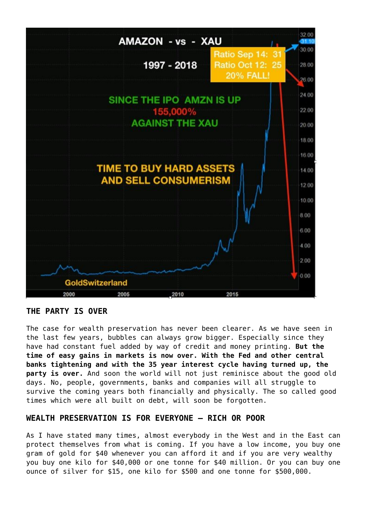

#### **THE PARTY IS OVER**

The case for wealth preservation has never been clearer. As we have seen in the last few years, bubbles can always grow bigger. Especially since they have had constant fuel added by way of credit and money printing. **But the time of easy gains in markets is now over. With the Fed and other central banks tightening and with the 35 year interest cycle having turned up, the party is over.** And soon the world will not just reminisce about the good old days. No, people, governments, banks and companies will all struggle to survive the coming years both financially and physically. The so called good times which were all built on debt, will soon be forgotten.

#### **WEALTH PRESERVATION IS FOR EVERYONE – RICH OR POOR**

As I have stated many times, almost everybody in the West and in the East can protect themselves from what is coming. If you have a low income, you buy one gram of gold for \$40 whenever you can afford it and if you are very wealthy you buy one kilo for \$40,000 or one tonne for \$40 million. Or you can buy one ounce of silver for \$15, one kilo for \$500 and one tonne for \$500,000.